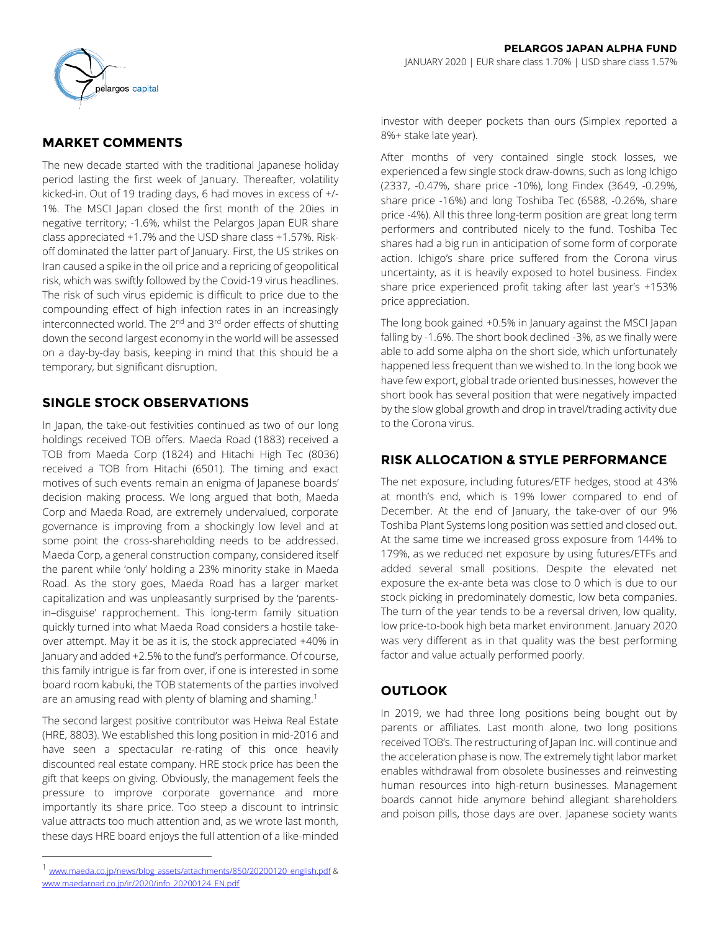

# **MARKET COMMENTS**

The new decade started with the traditional Japanese holiday period lasting the first week of January. Thereafter, volatility kicked-in. Out of 19 trading days, 6 had moves in excess of +/- 1%. The MSCI Japan closed the first month of the 20ies in negative territory; -1.6%, whilst the Pelargos Japan EUR share class appreciated +1.7% and the USD share class +1.57%. Riskoff dominated the latter part of January. First, the US strikes on Iran caused a spike in the oil price and a repricing of geopolitical risk, which was swiftly followed by the Covid-19 virus headlines. The risk of such virus epidemic is difficult to price due to the compounding effect of high infection rates in an increasingly interconnected world. The 2<sup>nd</sup> and 3<sup>rd</sup> order effects of shutting down the second largest economy in the world will be assessed on a day-by-day basis, keeping in mind that this should be a temporary, but significant disruption.

## **SINGLE STOCK OBSERVATIONS**

In Japan, the take-out festivities continued as two of our long holdings received TOB offers. Maeda Road (1883) received a TOB from Maeda Corp (1824) and Hitachi High Tec (8036) received a TOB from Hitachi (6501). The timing and exact motives of such events remain an enigma of Japanese boards' decision making process. We long argued that both, Maeda Corp and Maeda Road, are extremely undervalued, corporate governance is improving from a shockingly low level and at some point the cross-shareholding needs to be addressed. Maeda Corp, a general construction company, considered itself the parent while 'only' holding a 23% minority stake in Maeda Road. As the story goes, Maeda Road has a larger market capitalization and was unpleasantly surprised by the 'parentsin–disguise' rapprochement. This long-term family situation quickly turned into what Maeda Road considers a hostile takeover attempt. May it be as it is, the stock appreciated +40% in January and added +2.5% to the fund's performance. Of course, this family intrigue is far from over, if one is interested in some board room kabuki, the TOB statements of the parties involved are an amusing read with plenty of blaming and shaming.<sup>1</sup>

The second largest positive contributor was Heiwa Real Estate (HRE, 8803). We established this long position in mid-2016 and have seen a spectacular re-rating of this once heavily discounted real estate company. HRE stock price has been the gift that keeps on giving. Obviously, the management feels the pressure to improve corporate governance and more importantly its share price. Too steep a discount to intrinsic value attracts too much attention and, as we wrote last month, these days HRE board enjoys the full attention of a like-minded

l

investor with deeper pockets than ours (Simplex reported a 8%+ stake late year).

After months of very contained single stock losses, we experienced a few single stock draw-downs, such as long Ichigo (2337, -0.47%, share price -10%), long Findex (3649, -0.29%, share price -16%) and long Toshiba Tec (6588, -0.26%, share price -4%). All this three long-term position are great long term performers and contributed nicely to the fund. Toshiba Tec shares had a big run in anticipation of some form of corporate action. Ichigo's share price suffered from the Corona virus uncertainty, as it is heavily exposed to hotel business. Findex share price experienced profit taking after last year's +153% price appreciation.

The long book gained +0.5% in January against the MSCI Japan falling by -1.6%. The short book declined -3%, as we finally were able to add some alpha on the short side, which unfortunately happened less frequent than we wished to. In the long book we have few export, global trade oriented businesses, however the short book has several position that were negatively impacted by the slow global growth and drop in travel/trading activity due to the Corona virus.

# **RISK ALLOCATION & STYLE PERFORMANCE**

The net exposure, including futures/ETF hedges, stood at 43% at month's end, which is 19% lower compared to end of December. At the end of January, the take-over of our 9% Toshiba Plant Systems long position was settled and closed out. At the same time we increased gross exposure from 144% to 179%, as we reduced net exposure by using futures/ETFs and added several small positions. Despite the elevated net exposure the ex-ante beta was close to 0 which is due to our stock picking in predominately domestic, low beta companies. The turn of the year tends to be a reversal driven, low quality, low price-to-book high beta market environment. January 2020 was very different as in that quality was the best performing factor and value actually performed poorly.

## **OUTLOOK**

In 2019, we had three long positions being bought out by parents or affiliates. Last month alone, two long positions received TOB's. The restructuring of Japan Inc. will continue and the acceleration phase is now. The extremely tight labor market enables withdrawal from obsolete businesses and reinvesting human resources into high-return businesses. Management boards cannot hide anymore behind allegiant shareholders and poison pills, those days are over. Japanese society wants

<sup>&</sup>lt;sup>1</sup> [www.maeda.co.jp/news/blog\\_assets/attachments/850/20200120\\_english.pdf](http://www.maeda.co.jp/news/blog_assets/attachments/850/20200120_english.pdf) & [www.maedaroad.co.jp/ir/2020/info\\_20200124\\_EN.pdf](http://www.maedaroad.co.jp/ir/2020/info_20200124_EN.pdf)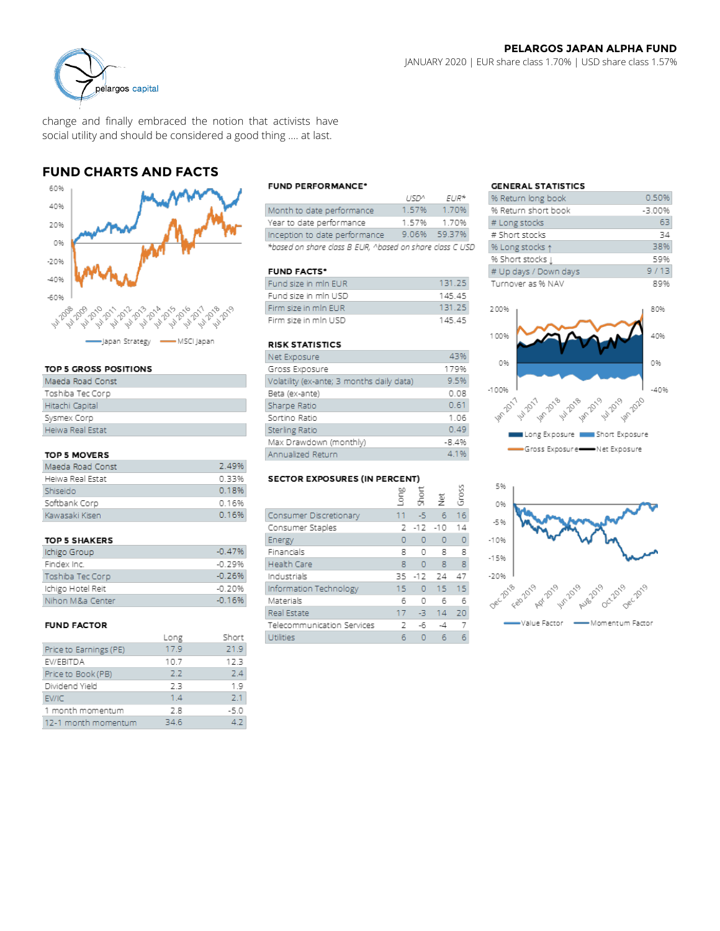

change and finally embraced the notion that activists have social utility and should be considered a good thing …. at last.

## **FUND CHARTS AND FACTS**



#### TOP 5 GROSS POSITIONS

| Maeda Road Const |
|------------------|
| Toshiba Tec Corp |
| Hitachi Capital  |
| Sysmex Corp      |
| Heiwa Real Estat |

#### TOP 5 MOVERS

| Maeda Road Const | 2.49% |
|------------------|-------|
| Heiwa Real Estat | 0.33% |
| Shiseido         | 0.18% |
| Softbank Corp    | 0.16% |
| Kawasaki Kisen   | 0.16% |

#### **TOP 5 SHAKERS**

| Ichigo Group      | $-0.47%$ |
|-------------------|----------|
| Findex Inc.       | -0.79%   |
| Toshiba Tec Corp  | $-0.26%$ |
| Ichigo Hotel Reit | $-0.20%$ |
| Nihon M&a Center  | $-0.16%$ |

### **FUND FACTOR**

|                        | Long | Short  |
|------------------------|------|--------|
| Price to Earnings (PE) | 17.9 | 21.9   |
| EV/EBITDA              | 10.7 | 12.3   |
| Price to Book (PB)     | 2.2  | 24     |
| Dividend Yield         | 2.3  | 1.9    |
| EV/IC                  | 1.4  | 71     |
| 1 month momentum       | 2.8  | $-5.0$ |
| 12-1 month momentum    | 34.6 | 47     |
|                        |      |        |

### **FUND PERFORMANCE\***

|                                                          | 115D <sub>2</sub> | EUR*         |  |
|----------------------------------------------------------|-------------------|--------------|--|
| Month to date performance                                | 1 57%             | 1.70%        |  |
| Year to date performance                                 | 157%              | 170%         |  |
| Inception to date performance                            |                   | 9.06% 59.37% |  |
| *based on share class B EUR. ^based on share class C USD |                   |              |  |

### **FUND FACTS\***

| Fund size in min EUR | 131.25 |
|----------------------|--------|
| Fund size in mln USD | 14545  |
| Firm size in min EUR | 131.25 |
| Firm size in min USD | 145.45 |

#### **RISK STATISTICS**

| Net Exposure                              | 43%     |
|-------------------------------------------|---------|
| Gross Exposure                            | 179%    |
| Volatility (ex-ante; 3 months daily data) | 9.5%    |
| Beta (ex-ante)                            | 0.08    |
| Sharpe Ratio                              | 0.61    |
| Sortino Ratio                             | 1.06    |
| Sterling Ratio                            | 0.49    |
| Max Drawdown (monthly)                    | $-8.4%$ |
| Annualized Return                         | 4 1 %   |

#### **SECTOR EXPOSURES (IN PERCENT)**

|                            | Long | short    | ğ               | Ğros |
|----------------------------|------|----------|-----------------|------|
| Consumer Discretionary     | 11   | -5       | 6               | 16   |
| Consumer Staples           | 2    | $-12$    | $-10$           | 14   |
| Energy                     | 0    | O        | 0               | 0    |
| Financials                 | 8    | O        | 8               | 8    |
| <b>Health Care</b>         | 8    | $\Omega$ | 8               | 8    |
| Industrials                | 35   | $-12$    | 24              | 47   |
| Information Technology     | 15   | O        | 15 <sub>1</sub> | 15   |
| Materials                  | б    | O        | 6               | 6    |
| Real Estate                | 17   | -3       | 14              | 20   |
| Telecommunication Services | 2    | -6       | -4              |      |
| Utilities                  | б    |          | 6               |      |

#### **GENERAL STATISTICS**

| % Return long book    | 0.50%      |
|-----------------------|------------|
| % Return short book   | $-3.00%$   |
| # Long stocks         | 63         |
| # Short stocks        | 34         |
| % Long stocks 1       | 38%        |
| % Short stocks [      | 59%        |
| # Up days / Down days | 9/13       |
| Turnover as % NAV     | <b>RQ%</b> |